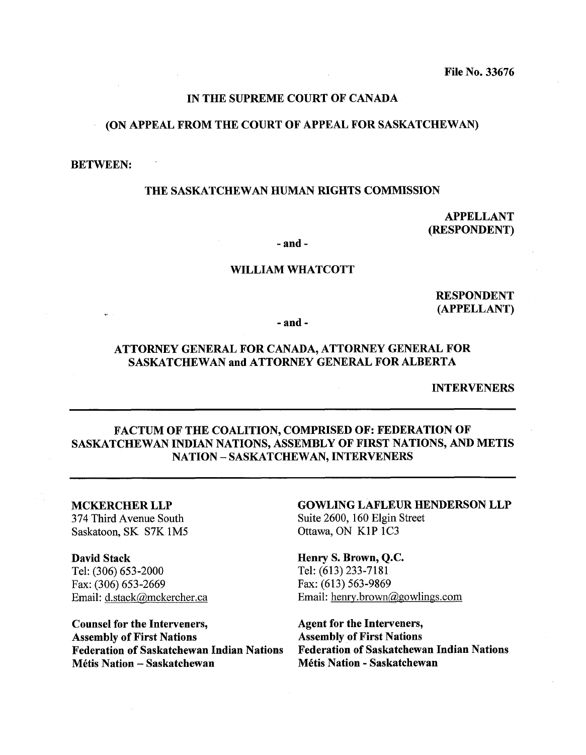# IN THE SUPREME COURT OF CANADA

#### (ON APPEAL FROM THE COURT OF APPEAL FOR SASKATCHEWAN)

#### BETWEEN:

#### THE SASKATCHEWAN HUMAN RIGHTS COMMISSION

APPELLANT (RESPONDENT)

- and -

#### WILLIAM WHATCOTT

RESPONDENT (APPELLANT)

- and -

# ATTORNEY GENERAL FOR CANADA, ATTORNEY GENERAL FOR SASKATCHEWAN and ATTORNEY GENERAL FOR ALBERTA

INTERVENERS

# FACTUM OF THE COALITION, COMPRISED OF: FEDERATION OF SASKATCHEWAN INDIAN NATIONS, ASSEMBLY OF FIRST NATIONS, AND METIS NATION - SASKATCHEWAN, INTERVENERS

# MCKERCHER LLP

374 Third Avenue South Saskatoon, SK S7K 1M5

David Stack Tel: (306) 653-2000 Fax: (306) 653-2669 Email: d.stack@mckercher.ca

Counsel for the Interveners,<br>
Agent for the Interveners,<br>
Assembly of First Nations<br>
Assembly of First Nations Assembly of First Nations<br>Federation of Saskatchewan Indian Nations Federation of Saskatchewan Indian Nations

GOWLING LAFLEUR HENDERSON LLP Suite 2600, 160 Elgin Street Ottawa, ON KIP 1C3

Henry S. Brown, Q.C. Tel: (613) 233-7181 Fax: (613) 563-9869 Email: henry.brown@gowlings.com

Federation of Saskatchewan Indian Nations Federation of Saskatchewan Indian Nations MCtis Nation - Saskatchewan MCtis Nation - Saskatchewan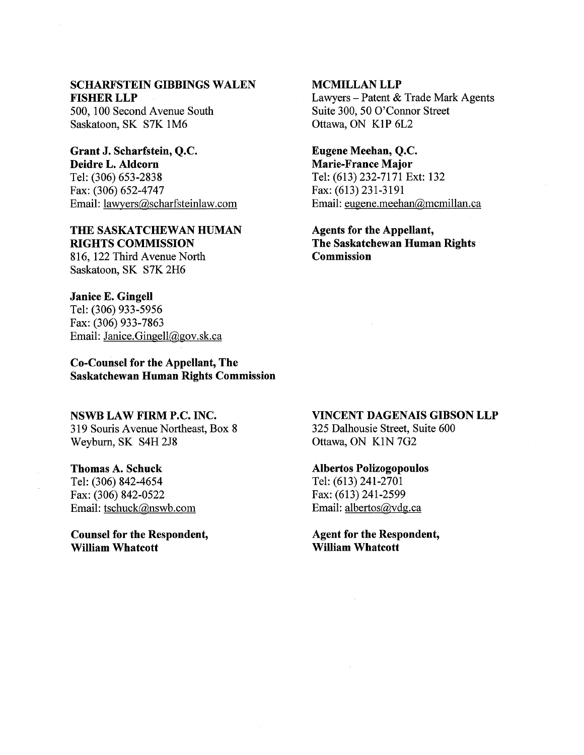# SCHARFSTEIN GIBBINGS WALEN FISHER LLP

500,100 Second Avenue South Saskatoon, SK S7K 1M6

# Grant J. Scharfstein, Q.C. Deidre L. Aldcorn

Tel: (306) 653-2838 Fax: (306) 652-4747 Email: lawyers@,scharfsteinlaw.com

# THE SASKATCHEWAN HUMAN RIGHTS COMMISSION

816, 122 Third Avenue North Saskatoon, SK S7K 2H6

#### Janice E. Gingell

Tel: (306) 933-5956 Fax: (306) 933-7863 Email: Janice.Gingell@gov.sk.ca

Co-Counsel for the Appellant, The Saskatchewan Human Rights Commission

#### NSWB LAW FIRM P.C. INC.

3 19 Souris Avenue Northeast, Box 8 Weyburn, SK S4H 2J8

# Thomas A. Schuck Tel: (306) 842-4654 Fax: (306) 842-0522 Email: tschuck@nswb.com

Counsel for the Respondent, William Whatcott

# MCMILLAN LLP Lawyers - Patent & Trade Mark Agents Suite 300,50 O'Connor Street Ottawa, ON KIP 6L2

Eugene Meehan, Q.C. Marie-France Major Tel: (613) 232-7171 Ext: 132 Fax: (613) 231-3191 Email: eugene.meehan@mcmillan.ca

# Agents for the Appellant, The Saskatchewan Human Rights **Commission**

# VINCENT DAGENAIS GIBSON LLP

325 Dalhousie Street, Suite 600 Ottawa, ON KIN 7G2

#### Albertos Polizogopoulos

Tel: (613) 241-2701 Fax: (613) 241-2599 Email: albertos@vdg.ca

Agent for the Respondent, William Whatcott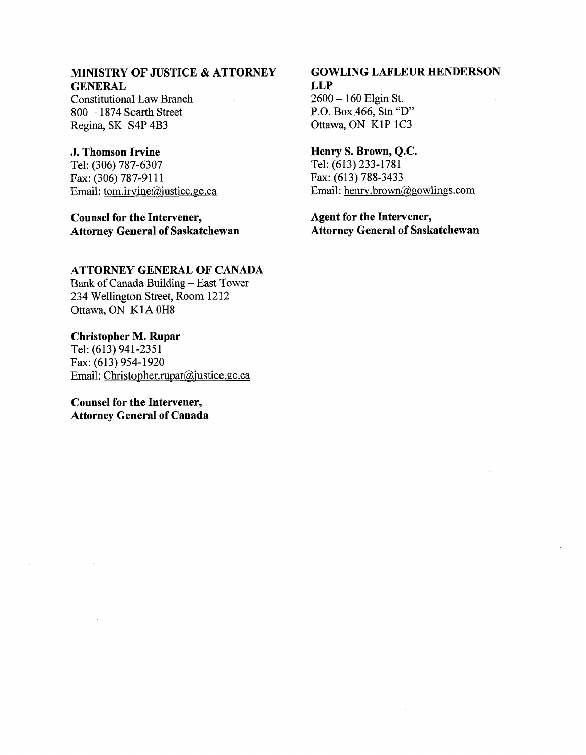## **MINISTRY OF JUSTICE** & **ATTORNEY GENERAL**

Constitutional Law Branch <sup>800</sup>- 1874 Scarth Street Regina, SK S4P 4B3

# **J. Thomson Irvine**

Tel: (306) 787-6307 Fax: (306) 787-9111 Email: tom.irvine@iustice.gc.ca

**Counsel for the Intervener, Attorney General of Saskatchewan** 

# **GOWLING LAFLEUR HENDERSON LLP**

<sup>2600</sup>- 160 Elgin St. P.O. Box 466, Stn "D" Ottawa, ON KIP 1C3

### **Henry S. Brown, Q.C.**

Tel: (613) 233-1781 Fax: (613) 788-3433 Email: henry.brown@gowlings.com

# **Agent for the Intervener, Attorney General of Saskatchewan**

## **ATTORNEY GENERAL OF CANADA**

Bank of Canada Building - East Tower 234 Wellington Street, Room 1212 Ottawa, ON KIA OH8

# **Christopher M. Rupar**

Tel: (613) 941-2351 Fax: (613) 954-1920 Email: **Christopher.rupar@,iustice.gc.ca** 

# **Counsel for the Intervener, Attorney General of Canada**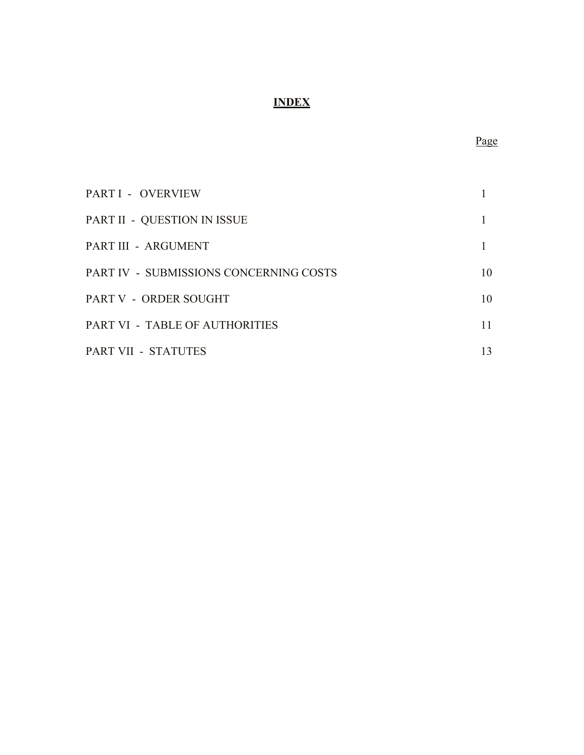# **INDEX**

| PART I - OVERVIEW                      |    |
|----------------------------------------|----|
| PART II - QUESTION IN ISSUE            |    |
| PART III - ARGUMENT                    |    |
| PART IV - SUBMISSIONS CONCERNING COSTS | 10 |
| PART V - ORDER SOUGHT                  | 10 |
| PART VI - TABLE OF AUTHORITIES         | 11 |
| PART VII - STATUTES                    | 13 |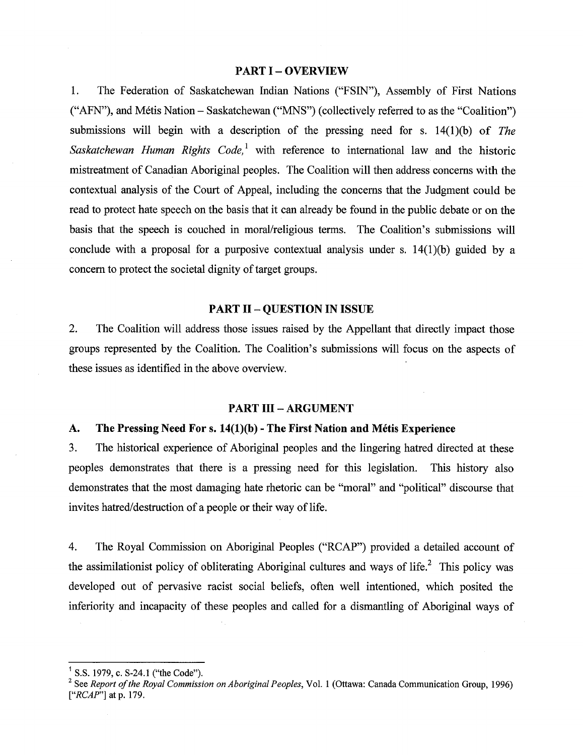#### **PART I** - **OVERVIEW**

1. The Federation of Saskatchewan Indian Nations ("FSIN"), Assembly of First Nations ("AFN"), and Métis Nation – Saskatchewan ("MNS") (collectively referred to as the "Coalition") submissions will begin with a description of the pressing need for s. 14(1)(b) of *The Saskatchewan Human Rights Code,'* with reference to international law and the historic mistreatment of Canadian Aboriginal peoples. The Coalition will then address concerns with the contextual analysis of the Court of Appeal, including the concerns that the Judgment could be read to protect hate speech on the basis that it can already be found in the public debate or on the basis that the speech is couched in moral/religious terms. The Coalition's submissions will conclude with a proposal for a purposive contextual analysis under s.  $14(1)(b)$  guided by a concern to protect the societal dignity of target groups.

#### **PART I1** - **QUESTION IN ISSUE**

2. The Coalition will address those issues raised by the Appellant that directly impact those groups represented by the Coalition. The Coalition's submissions will focus on the aspects of these issues as identified in the above overview.

#### **PART III - ARGUMENT**

#### A. The Pressing Need For s. 14(1)(b) - The First Nation and Métis Experience

**3.** The historical experience of Aboriginal peoples and the lingering hatred directed at these peoples demonstrates that there is a pressing need for this legislation. This history also demonstrates that the most damaging hate rhetoric can be "moral" and "political" discourse that invites hatred/destruction of a people or their way of life.

4. The Royal Commission on Aboriginal Peoples ("RCAP") provided a detailed account of the assimilationist policy of obliterating Aboriginal cultures and ways of life.<sup>2</sup> This policy was developed out of pervasive racist social beliefs, often well intentioned, which posited the inferiority and incapacity of these peoples and called for a dismantling of Aboriginal ways of

<sup>&</sup>lt;sup>1</sup> S.S. 1979, c. S-24.1 ("the Code").

**<sup>2</sup>**See *Report of the Royal Commission on Aboriginal Peoples,* Vol. 1 *(Ottawa:* Canada Communication Group, 1996) *["RCAP"]* at *p.* 179.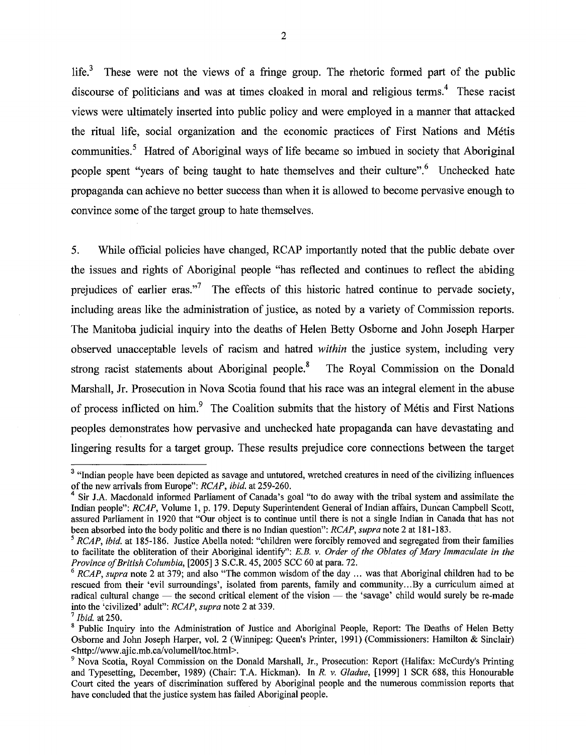life.<sup>3</sup> These were not the views of a fringe group. The rhetoric formed part of the public discourse of politicians and was at times cloaked in moral and religious terms.' These racist views were ultimately inserted into public policy and were employed in a manner that attacked the ritual life, social organization and the economic practices of First Nations and Métis communities.<sup>5</sup> Hatred of Aboriginal ways of life became so imbued in society that Aboriginal people spent "years of being taught to hate themselves and their culture". <sup>6</sup> Unchecked hate propaganda can achieve no better success than when it is allowed to become pervasive enough to convince some of the target group to hate themselves.

5. While official policies have changed, RCAP importantly noted that the public debate over the issues and rights of Aboriginal people "has reflected and continues to reflect the abiding prejudices of earlier eras."<sup>7</sup> The effects of this historic hatred continue to pervade society, including areas like the administration of justice, as noted by a variety of Commission reports. The Manitoba judicial inquiry into the deaths of Helen Betty Osborne and John Joseph Harper observed unacceptable levels of racism and hatred **within** the justice system, including very strong racist statements about Aboriginal people.<sup>8</sup> The Royal Commission on the Donald Marshall, Jr. Prosecution in Nova Scotia found that his race was an integral element in the abuse of process inflicted on him.<sup>9</sup> The Coalition submits that the history of Métis and First Nations peoples demonstrates how pervasive and unchecked hate propaganda can have devastating and lingering results for a target group. These results prejudice core connections between the target

<sup>&</sup>lt;sup>3</sup> "Indian people have been depicted as savage and untutored, wretched creatures in need of the civilizing influences of the new arrivals fiom Europe": RCAP, ibid. at 259-260.

Sir J.A. Macdonald informed Parliament of Canada's goal "to do away with the tribal system and assimilate the Indian people": RCAP, Volume 1, p. 179. Deputy Superintendent General of Indian affairs, Duncan Campbell Scott, assured Parliament in 1920 that "Our object is to continue until there is not a single Indian in Canada that has not been absorbed into the body politic and there is no Indian question": RCAP, supra note 2 at 181-183.

 $5$  RCAP, ibid. at 185-186. Justice Abella noted: "children were forcibly removed and segregated from their families to facilitate the obliteration of their Aboriginal identify": E.B. v. Order of the Oblates of Mary Immaculate in the Province of British Columbia, [2005] 3 S.C.R. 45, 2005 SCC 60 at para. 72.

 $6$  RCAP, supra note 2 at 379; and also "The common wisdom of the day ... was that Aboriginal children had to be rescued from their 'evil surroundings', isolated from parents, family and community...By a curriculum aimed at  $\alpha$  RCAP, supra note 2 at 379; and also "The common wisdom of the day ... was that Aboriginal children had to be rescued from their 'evil surroundings', isolated from parents, family and community...By a curriculum aimed into the 'civilized' adult": RCAP, supra note 2 at 339.

 $^7$  Ibid. at 250.

<sup>&</sup>lt;sup>8</sup> Public Inquiry into the Administration of Justice and Aboriginal People, Report: The Deaths of Helen Betty Osborne and John Joseph Harper, vol. 2 (Winnipeg: Queen's Printer, 1991) (Commissioners: Hamilton & Sinclair) **~http://www.ajic.mb.cdvolumell/toc.htrnl>.** 

<sup>&</sup>lt;sup>9</sup> Nova Scotia, Royal Commission on the Donald Marshall, Jr., Prosecution: Report (Halifax: McCurdy's Printing and Typesetting, December, 1989) (Chair: T.A. Hickman). In R. v. Gladue, [I9991 1 SCR 688, this Honourable Court cited the years of discrimination suffered by Aboriginal people and the numerous commission reports that have concluded that the justice system has failed Aboriginal people.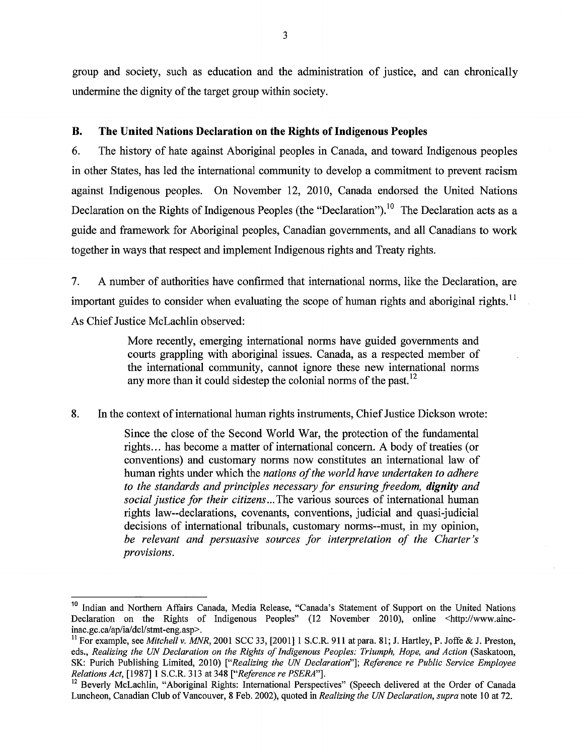group and society, such as education and the administration of justice, and can chronically undermine the dignity of the target group within society.

#### **B. The United Nations Declaration on the Rights of Indigenous Peoples**

*6.* The history of hate against Aboriginal peoples in Canada, and toward Indigenous peoples in other States, has led the international community to develop a commitment to prevent racism against Indigenous peoples. On November 12, 2010, Canada endorsed the United Nations Declaration on the Rights of Indigenous Peoples (the "Declaration").<sup> $10$ </sup> The Declaration acts as a guide and framework for Aboriginal peoples, Canadian governments, and all Canadians to work together in ways that respect and implement Indigenous rights and Treaty rights.

7. A number of authorities have confirmed that international norms, like the Declaration, are important guides to consider when evaluating the scope of human rights and aboriginal rights.<sup>11</sup> As Chief Justice McLachlin observed:

> More recently, emerging international norms have guided governments and courts grappling with aboriginal issues. Canada, as a respected member of the international community, cannot ignore these new international norms any more than it could sidestep the colonial norms of the past. **l2**

**8.** In the context of international human rights instruments, Chief Justice Dickson wrote:

Since the close of the Second World War, the protection of the fundamental rights.. . has become a matter of international concern. A body of treaties (or conventions) and customary norms now constitutes an international law of human rights under which the *nations of the world have undertaken to adhere to the standards and principles necessary for ensuring freedom, dignity and social justice for their citizens* ... The various sources of international human rights law--declarations, covenants, conventions, judicial and quasi-judicial decisions of international tribunals, customary norms--must, in my opinion, *be relevant and persuasive sources for interpretation of the Charter's provisions.* 

<sup>&</sup>lt;sup>10</sup> Indian and Northern Affairs Canada, Media Release, "Canada's Statement of Support on the United Nations Declaration on the Rights of Indigenous Peoples" (12 November 2010), online <http://www.aincinac.gc.ca/ap/ia/dcl/stmt-eng.asp>.

<sup>&</sup>lt;sup>11</sup> For example, see Mitchell v. MNR, 2001 SCC 33, [2001] 1 S.C.R. 911 at para. 81; J. Hartley, P. Joffe & J. Preston, eds., Realizing the **UiV** Declaration on the Rights of Indigenous Peoples: Triumph, Hope, and Action (Saskatoon, SK: Purich Publishing Limited, 2010) ["Realizing the **UiV** Declaration"]; Reference re Public Service Employee Relations Act, [1987] 1 S.C.R. 313 at 348 ["Reference re PSERA"].

<sup>&</sup>lt;sup>12</sup> Beverly McLachlin, "Aboriginal Rights: International Perspectives" (Speech delivered at the Order of Canada Luncheon, Canadian Club of Vancouver, 8 Feb. 2002), quoted in Realizing the *UN* Declaration, supra note 10 at 72.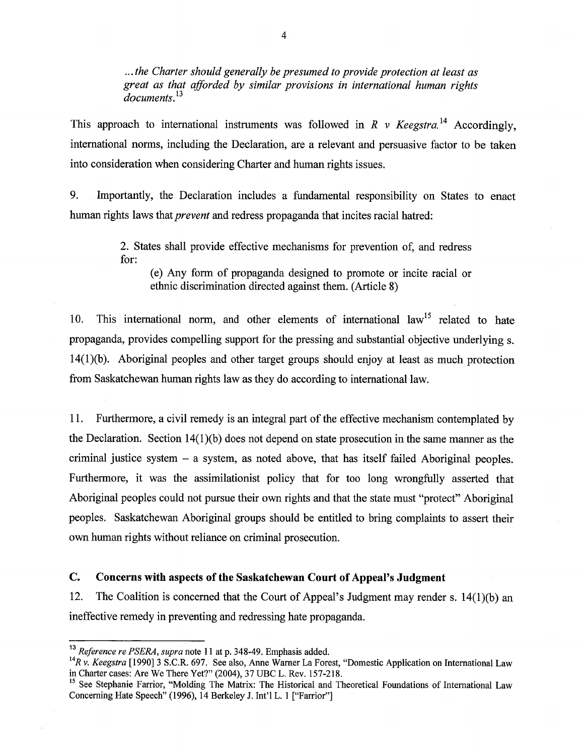.. . *the Charter should generally be presumed to provide protection at least as great as that afforded by similar provisions in international human rights documents.13* 

This approach to international instruments was followed in R  $\nu$  Keegstra.<sup>14</sup> Accordingly, international norms, including the Declaration, are a relevant and persuasive factor to be taken into consideration when considering Charter and human rights issues.

**9.** Importantly, the Declaration includes a fundamental responsibility on States to enact human rights laws that *prevent* and redress propaganda that incites racial hatred:

> 2. States shall provide effective mechanisms for prevention of, and redress for:

(e) Any form of propaganda designed to promote or incite racial or ethnic discrimination directed against them. (Article 8)

10. This international norm, and other elements of international  $law<sup>15</sup>$  related to hate propaganda, provides compelling support for the pressing and substantial objective underlying s. 14(l)(b). Aboriginal peoples and other target groups should enjoy at least as much protection from Saskatchewan human rights law as they do according to international law.

11. Furthermore, a civil remedy is an integral part of the effective mechanism contemplated by the Declaration. Section  $14(1)(b)$  does not depend on state prosecution in the same manner as the criminal justice system - a system, as noted above, that has itself failed Aboriginal peoples. Furthermore, it was the assimilationist policy that for too long wrongfully asserted that Aboriginal peoples could not pursue their own rights and that the state must "protect" Aboriginal peoples. Saskatchewan Aboriginal groups should be entitled to bring complaints to assert their own human rights without reliance on criminal prosecution.

#### **C. Concerns with aspects of the Saskatchewan Court of Appeal's Judgment**

12. The Coalition is concerned that the Court of Appeal's Judgment may render s. 14(1)(b) an ineffective remedy in preventing and redressing hate propaganda.

**l3** *Reference re PSERA, supra* note 11 at p. 348-49. Emphasis added.

<sup>&</sup>lt;sup>14</sup>R v. *Keegstra* [1990] 3 S.C.R. 697. See also, Anne Warner La Forest, "Domestic Application on International Law in Charter cases: Are We There Yet?" (2004), **37** UBC L. Rev. 157-2 18.

<sup>&</sup>lt;sup>15</sup> See Stephanie Farrior, "Molding The Matrix: The Historical and Theoretical Foundations of International Law Concerning Hate Speech" (1996), 14 Berkeley J. Int'l L. 1 ["Farrior"]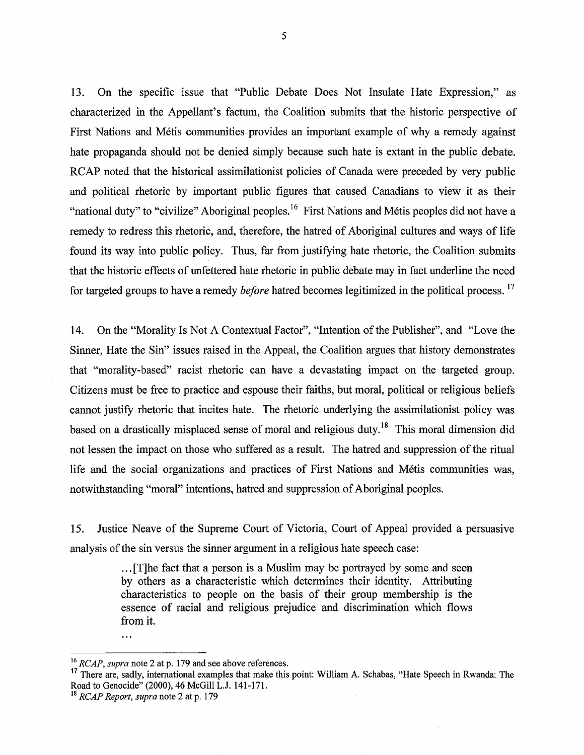**13.** On the specific issue that "Public Debate Does Not Insulate Hate Expression," as characterized in the Appellant's factum, the Coalition submits that the historic perspective of First Nations and Métis communities provides an important example of why a remedy against hate propaganda should not be denied simply because such hate is extant in the public debate. RCAP noted that the historical assimilationist policies of Canada were preceded by very public and political rhetoric by important public figures that caused Canadians to view it as their "national duty" to "civilize" Aboriginal peoples.<sup>16</sup> First Nations and Métis peoples did not have a remedy to redress this rhetoric, and, therefore, the hatred of Aboriginal cultures and ways of life found its way into public policy. Thus, far from justifying hate rhetoric, the Coalition submits that the historic effects of unfettered hate rhetoric in public debate may in fact underline the need for targeted groups to have a remedy *before* hatred becomes legitimized in the political process.<sup>17</sup>

14. On the "Morality Is Not A Contextual Factor", "Intention of the Publisher", and "Love the Sinner, Hate the Sin" issues raised in the Appeal, the Coalition argues that history demonstrates that "morality-based" racist rhetoric can have a devastating impact on the targeted group. Citizens must be free to practice and espouse their faiths, but moral, political or religious beliefs cannot justify rhetoric that incites hate. The rhetoric underlying the assimilationist policy was based on a drastically misplaced sense of moral and religious duty.<sup>18</sup> This moral dimension did not lessen the impact on those who suffered as a result. The hatred and suppression of the ritual life and the social organizations and practices of First Nations and Métis communities was, notwithstanding "moral" intentions, hatred and suppression of Aboriginal peoples.

15. Justice Neave of the Supreme Court of Victoria, Court of Appeal provided a persuasive analysis of the sin versus the sinner argument in a religious hate speech case:

> . . . [Tlhe fact that a person is a Muslim may be portrayed by some and seen by others as a characteristic which determines their identity. Attributing characteristics to people on the basis of their group membership is the essence of racial and religious prejudice and discrimination which flows from it.

 $\dddotsc$ 

**l6** RCAP, supra note 2 at p. 179 and see above references.

**l7** There are, sadly, international examples that make this point: William **A.** Schabas, "Hate Speech in Rwanda: The Road to Genocide" (2000), 46 McGill L.J. 141-171.<br><sup>18</sup> RCAP Report, supra note 2 at p. 179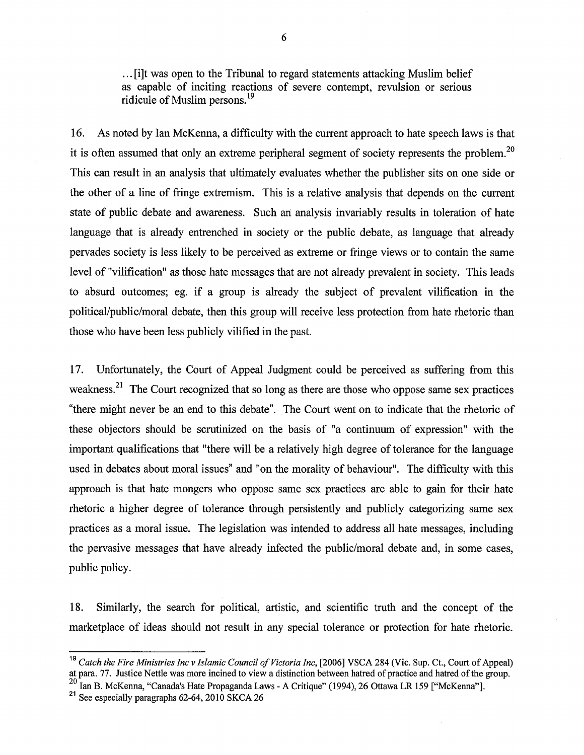. . . [i]t was open to the Tribunal to regard statements attacking Muslim belief as capable of inciting reactions of severe contempt, revulsion or serious ridicule of Muslim persons.<sup>19</sup>

**16.** As noted by Ian McKenna, a difficulty with the current approach to hate speech laws is that it is often assumed that only an extreme peripheral segment of society represents the problem.<sup>20</sup> This can result in an analysis that ultimately evaluates whether the publisher sits on one side or the other of a line of fringe extremism. This is a relative analysis that depends on the current state of public debate and awareness. Such an analysis invariably results in toleration of hate language that is already entrenched in society or the public debate, as language that already pervades society is less likely to be perceived as extreme or fringe views or to contain the same level of "vilification" as those hate messages that are not already prevalent in society. This leads to absurd outcomes; eg. if a group is already the subject of prevalent vilification in the political/public/moral debate, then this group will receive less protection from hate rhetoric than those who have been less publicly vilified in the past.

17. Unfortunately, the Court of Appeal Judgment could be perceived as suffering from this weakness.<sup>21</sup> The Court recognized that so long as there are those who oppose same sex practices "there might never be an end to this debate". The Court went on to indicate that the rhetoric of these objectors should be scrutinized on the basis of "a continuum of expression" with the important qualifications that "there will be a relatively high degree of tolerance for the language used in debates about moral issues" and "on the morality of behaviour". The difficulty with this approach is that hate mongers who oppose same sex practices are able to gain for their hate rhetoric a higher degree of tolerance through persistently and publicly categorizing same sex practices as a moral issue. The legislation was intended to address all hate messages, including the pervasive messages that have already infected the public/moral debate and, in some cases, public policy.

**18.** Similarly, the search for political, artistic, and scientific truth and the concept of the marketplace of ideas should not result in any special tolerance or protection for hate rhetoric.

<sup>&</sup>lt;sup>19</sup> Catch the Fire Ministries Inc v Islamic Council of Victoria Inc, [2006] VSCA 284 (Vic. Sup. Ct., Court of Appeal) at para. 77. Justice Nettle was more incined to view a distinction between hatred of practice and hatred of the group.

<sup>&</sup>lt;sup>20</sup> Ian B. McKenna, "Canada's Hate Propaganda Laws - A Critique" (1994), 26 Ottawa LR 159 ["McKenna"].<br><sup>21</sup> See especially paragraphs 62-64, 2010 SKCA 26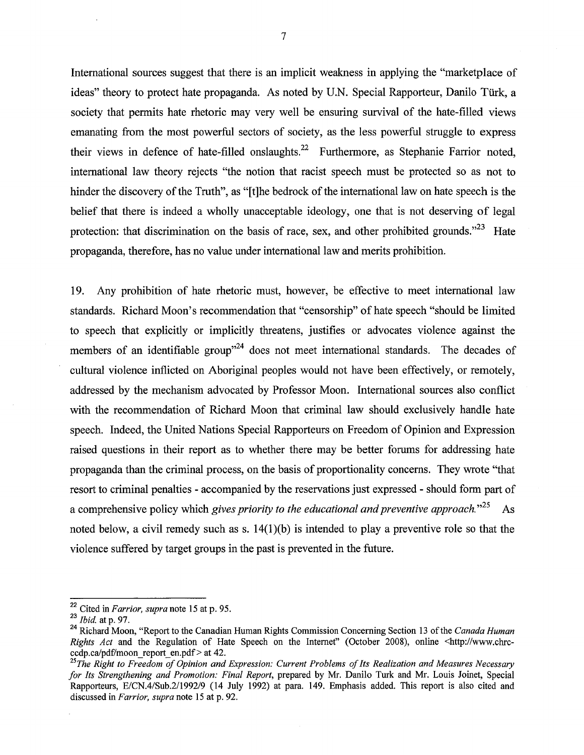International sources suggest that there is an implicit weakness in applying the "marketplace of ideas" theory to protect hate propaganda. As noted by U.N. Special Rapporteur, Danilo Türk, a society that permits hate rhetoric may very well be ensuring survival of the hate-filled views emanating from the most powerful sectors of society, as the less powerful struggle to express their views in defence of hate-filled onslaughts.<sup>22</sup> Furthermore, as Stephanie Farrior noted, international law theory rejects "the notion that racist speech must be protected so as not to hinder the discovery of the Truth", as "[tlhe bedrock of the international law on hate speech is the belief that there is indeed a wholly unacceptable ideology, one that is not deserving of legal protection: that discrimination on the basis of race, sex, and other prohibited grounds.<sup> $23$ </sup> Hate propaganda, therefore, has no value under international law and merits prohibition.

19. Any prohibition of hate rhetoric must, however, be effective to meet international law standards. Richard Moon's recommendation that "censorship" of hate speech "should be limited to speech that explicitly or implicitly threatens, justifies or advocates violence against the members of an identifiable group<sup> $24$ </sup> does not meet international standards. The decades of cultural violence inflicted on Aboriginal peoples would not have been effectively, or remotely, addressed by the mechanism advocated by Professor Moon. International sources also conflict with the recommendation of Richard Moon that criminal law should exclusively handle hate speech. Indeed, the United Nations Special Rapporteurs on Freedom of Opinion and Expression raised questions in their report as to whether there may be better forums for addressing hate propaganda than the criminal process, on the basis of proportionality concerns. They wrote "that resort to criminal penalties - accompanied by the reservations just expressed - should form part of a comprehensive policy which *gives priority to the educational and preventive approach.* <sup>25</sup> As noted below, a civil remedy such as s.  $14(1)(b)$  is intended to play a preventive role so that the violence suffered by target groups in the past is prevented in the future.

**<sup>22</sup>**Cited in *Farrior, supra* note 15 at p. 95.

**<sup>23</sup>***Ibid* at p. 97.

**<sup>24</sup>**Richard Moon, "Report to the Canadian Human Rights Commission Concerning Section 13 of the *Canada Human Rights Act* and the Regulation of Hate Speech on the Internet" (October 2008), online <http://www.chrc**ccdp.ca/pdt7moon-report\_en.pdf** > at 42.

*<sup>25~</sup>he Right to Freedom of Opinion and Expression: Current Problems of Its Realization and Measures Necessary for Its Strengthening and Promotion: Final Report, prepared by Mr. Danilo Turk and Mr. Louis Joinet, Special* Rapporteurs, E/CN.4/Sub.2/1992/9 (14 July 1992) at para. 149. Emphasis added. This report is also cited and discussed in *Farrior, supra* note 15 at p. 92.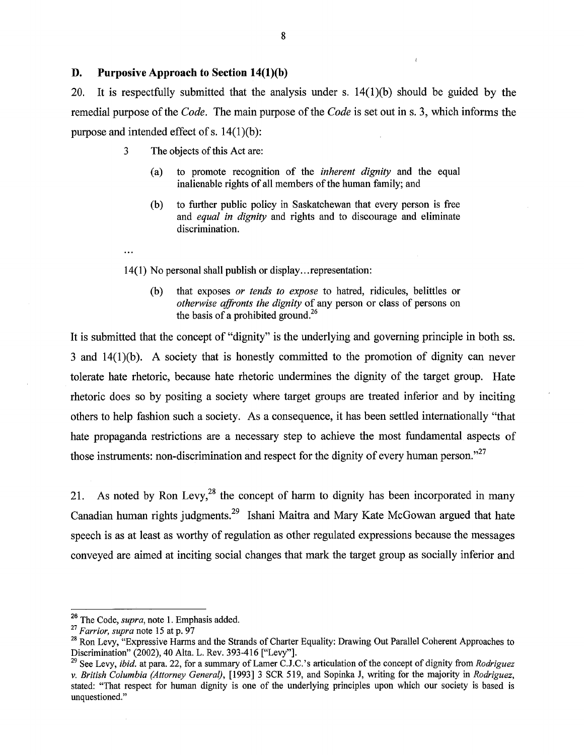#### **D. Purposive Approach to Section 14(l)(b)**

20. It is respectfully submitted that the analysis under s.  $14(1)(b)$  should be guided by the remedial purpose of the *Code.* The main purpose of the *Code* is set out in s. 3, which informs the purpose and intended effect of s.  $14(1)(b)$ :

i

- **3** The objects of this Act are:
	- (a) to promote recognition of the *inherent dignity* and the equal inalienable rights of all members of the human family; and
	- (b) to further public policy in Saskatchewan that every person is free and *equal in dignity* and rights and to discourage and eliminate discrimination.
- 14(1) No personal shall publish or display.. .representation:
	- (b) that exposes *or tends to expose* to hatred, ridicules, belittles or *otherwise affronts the dignity* of any person or class of persons on the basis of a prohibited ground.<sup>26</sup>

It is submitted that the concept of "dignity" is the underlying and governing principle in both ss. 3 and 14(l)(b). A society that is honestly committed to the promotion of dignity can never tolerate hate rhetoric, because hate rhetoric undermines the dignity of the target group. Hate rhetoric does so by positing a society where target groups are treated inferior and by inciting others to help fashion such a society. As a consequence, it has been settled internationally "that hate propaganda restrictions are a necessary step to achieve the most fundamental aspects of those instruments: non-discrimination and respect for the dignity of every human person."<sup>27</sup>

21. As noted by Ron Levy,<sup>28</sup> the concept of harm to dignity has been incorporated in many Canadian human rights judgments.29 Ishani Maitra and Mary Kate McGowan argued that hate speech is as at least as worthy of regulation as other regulated expressions because the messages conveyed are aimed at inciting social changes that mark the target group as socially inferior and

<sup>&</sup>lt;sup>26</sup> The Code, *supra*, note 1. Emphasis added.

<sup>&</sup>lt;sup>27</sup> Farrior, supra note 15 at p. 97

<sup>&</sup>lt;sup>28</sup> Ron Levy, "Expressive Harms and the Strands of Charter Equality: Drawing Out Parallel Coherent Approaches to Discrimination" (2002), 40 Alta. L. Rev. 393-416 ["Levy"].

<sup>&</sup>lt;sup>29</sup> See Levy, *ibid.* at para. 22, for a summary of Lamer C.J.C.'s articulation of the concept of dignity from *Rodriguez* v. British Columbia (Attorney General), [I9931 3 SCR 519, and Sopinka J, writing for the majority in Rodriguez, stated: "That respect for human dignity is one of the underlying principles upon which our society is based is unquestioned."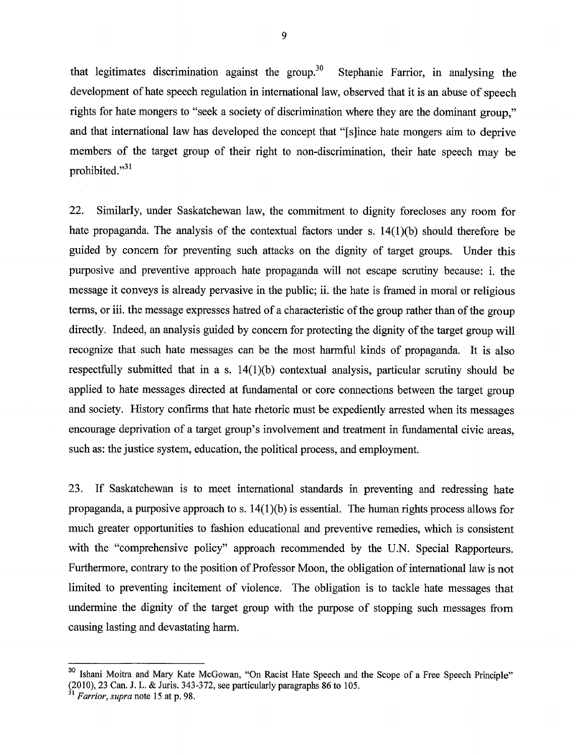that legitimates discrimination against the group.<sup>30</sup> Stephanie Farrior, in analysing the development of hate speech regulation in international law, observed that it is an abuse of speech rights for hate mongers to "seek a society of discrimination where they are the dominant group," and that international law has developed the concept that "[slince hate mongers aim to deprive members of the target group of their right to non-discrimination, their hate speech may be prohibited."<sup>31</sup>

22. Similarly, under Saskatchewan law, the commitment to dignity forecloses any room for hate propaganda. The analysis of the contextual factors under s. 14(1)(b) should therefore be guided by concern for preventing such attacks on the dignity of target groups. Under this purposive and preventive approach hate propaganda will not escape scrutiny because: i. the message it conveys is already pervasive in the public; ii. the hate is framed in moral or religious terms, or iii. the message expresses hatred of a characteristic of the group rather than of the group directly. Indeed, an analysis guided by concern for protecting the dignity of the target group will recognize that such hate messages can be the most harmful kinds of propaganda. It is also respectfully submitted that in a s. 14(1)(b) contextual analysis, particular scrutiny should be applied to hate messages directed at fundamental or core connections between the target group and society. History confirms that hate rhetoric must be expediently arrested when its messages encourage deprivation of a target group's involvement and treatment in fundamental civic areas, such as: the justice system, education, the political process, and employment.

23. If Saskatchewan is to meet international standards in preventing and redressing hate propaganda, a purposive approach to s.  $14(1)(b)$  is essential. The human rights process allows for much greater opportunities to fashion educational and preventive remedies, which is consistent with the "comprehensive policy" approach recommended by the U.N. Special Rapporteurs. Furthermore, contrary to the position of Professor Moon, the obligation of international law is not limited to preventing incitement of violence. The obligation is to tackle hate messages that undermine the dignity of the target group with the purpose of stopping such messages from causing lasting and devastating harm.

**<sup>30</sup>** Ishani Moitra and Mary Kate McGowan, "On Racist Hate Speech and the Scope of a Free Speech Principle" (2010), 23 Can. J. L. & Juris. 343-372, see particularly paragraphs 86 to 105.

**<sup>31</sup>** *Farrior, supra* note 15 at p. 98.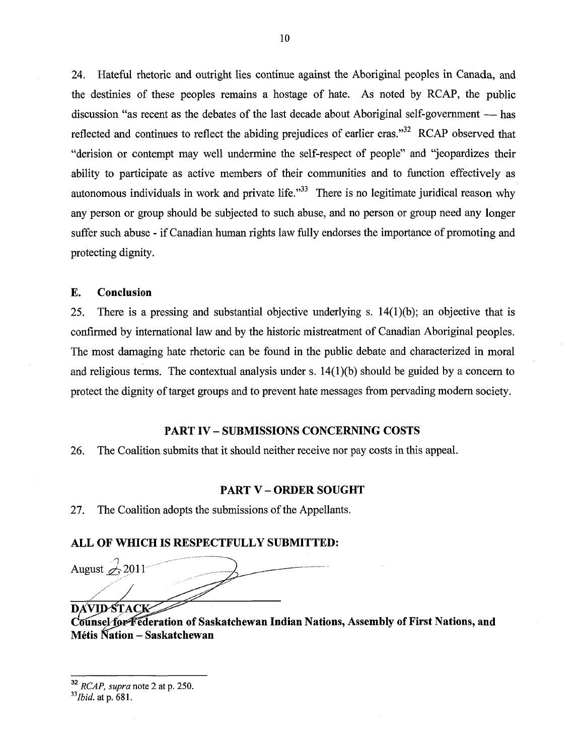24. Hateful rhetoric and outright lies continue against the Aboriginal peoples in Canada, and the destinies of these peoples remains a hostage of hate. As noted by RCAP, the public the destinies of these peoples remains a hostage of hate. As noted by RCAP, the public discussion "as recent as the debates of the last decade about Aboriginal self-government — has reflected and continues to reflect the abiding prejudices of earlier eras."<sup>32</sup> RCAP observed that "derision or contempt may well undermine the self-respect of people" and "jeopardizes their ability to participate as active members of their communities and to function effectively as autonomous individuals in work and private life. $\frac{333}{10}$  There is no legitimate juridical reason why any person or group should be subjected to such abuse, and no person or group need any longer suffer such abuse - if Canadian human rights law fully endorses the importance of promoting and protecting dignity.

#### **E. Conclusion**

25. There is a pressing and substantial objective underlying s.  $14(1)(b)$ ; an objective that is confirmed by international law and by the historic mistreatment of Canadian Aboriginal peoples. The most damaging hate rhetoric can be found in the public debate and characterized in moral and religious terms. The contextual analysis under s.  $14(1)(b)$  should be guided by a concern to protect the dignity of target groups and to prevent hate messages from pervading modern society.

#### **PART IV** - **SUBMISSIONS CONCERNING COSTS**

26. The Coalition submits that it should neither receive nor pay costs in this appeal.

#### **PART V** - **ORDER SOUGHT**

27. The Coalition adopts the submissions of the Appellants.

#### **ALL OF WHICH IS RESPECTFULLY SUBMITTED:**

August  $\mathcal{L}$  2011 **DAVID-STACK** 

Counsel for Federation of Saskatchewan Indian Nations, Assembly of First Nations, and **Metis Kation** - **Saskatchewan** 

**<sup>32</sup>**RCAP, *supra* note 2 at p. 250.

*<sup>33~</sup>bid.* at p. 681.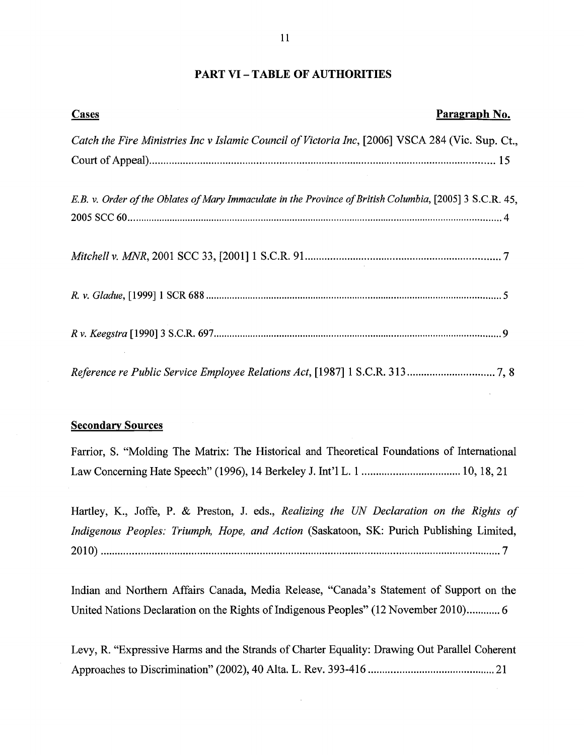#### **PART VI** - **TABLE OF AUTHORITIES**

| T T                                                                                                      |               |  |
|----------------------------------------------------------------------------------------------------------|---------------|--|
| <b>PART VI - TABLE OF AUTHORITIES</b>                                                                    |               |  |
| <b>Cases</b>                                                                                             | Paragraph No. |  |
| Catch the Fire Ministries Inc v Islamic Council of Victoria Inc, [2006] VSCA 284 (Vic. Sup. Ct.,         |               |  |
|                                                                                                          |               |  |
| E.B. v. Order of the Oblates of Mary Immaculate in the Province of British Columbia, [2005] 3 S.C.R. 45, |               |  |
|                                                                                                          |               |  |
|                                                                                                          |               |  |
|                                                                                                          |               |  |
|                                                                                                          |               |  |

#### **Secondary Sources**

Farrior, S. "Molding The Matrix: The Historical and Theoretical Foundations of International Law Concerning Hate Speech" (1996), 14 Berkeley J. Int'l L. 1 ................................... 10, 18, 2 1

Hartley, K., Joffe, P. & Preston, J. eds., *Realizing the UN Declaration on the Rights of Indigenous Peoples: Triumph, Hope, and Action* (Saskatoon, SK: Purich Publishing Limited, 

Indian and Northern Affairs Canada, Media Release, "Canada's Statement of Support on the United Nations Declaration on the Rights of Indigenous Peoples" (12 November 2010)............ 6

Levy, R. "Expressive Harms and the Strands of Charter Equality: Drawing Out Parallel Coherent Approaches to Discrimination" (2002), 40 Alta. L. Rev. 393-4 16 .......................................... 2 1

 $\bar{\psi}$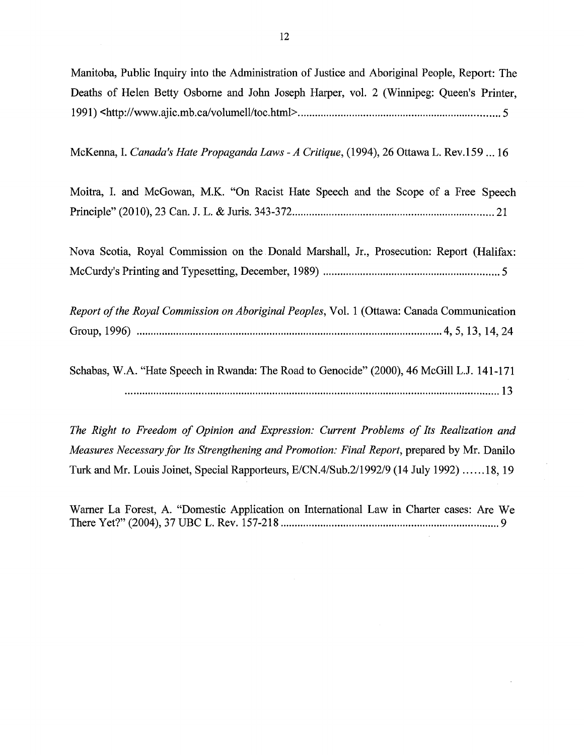Manitoba, Public Inquiry into the Administration of Justice and Aboriginal People, Report: The Deaths of Helen Betty Osborne and John Joseph Harper, vol. 2 (Winnipeg: Queen's Printer, 199 1) **~http://www.ajic.mb.ca/volumell/toc.html.** ...................................................................... 5

McKenna, I. *Canada's Hate Propaganda Laws -A Critique,* (1994), 26 Ottawa L. Rev.159 ... 16

Moitra, I. and McGowan, M.K. "On Racist Hate Speech and the Scope of a Free Speech Principle" (2010), 23 Can. J. L. & Juris. 343-372 ....................................................................... 21

Nova Scotia, Royal Commission on the Donald Marshall, Jr., Prosecution: Report (Halifax: McCurdy's Printing and Typesetting, December, 1989) .............................................................. 5

*Report of the Royal Commission on Aboriginal Peoples,* Vol. 1 (Ottawa: Canada Communication Group, 1996) ............................................................................................................ 4, 5, 13, 14, 24

Schabas, W.A. "Hate Speech in Rwanda: The Road to Genocide" (2000), 46 McGill L.J. 141-171 .................................................................................................................................... 13

*The Right to Freedom of Opinion and Expression: Current Problems of Its Realization and Measures Necessary for Its Strengthening and Promotion: Final Report, prepared by Mr. Danilo* Turk and Mr. Louis Joinet, Special Rapporteurs, E/CN.4/Sub.2/1992/9 (14 July 1992) ..... .18, 19

Warner La Forest, **A.** "Domestic Application on International Law in Charter cases: Are We There Yet?" (2004), 37 UBC L. Rev. 157-21 8 ............................................................................. 9